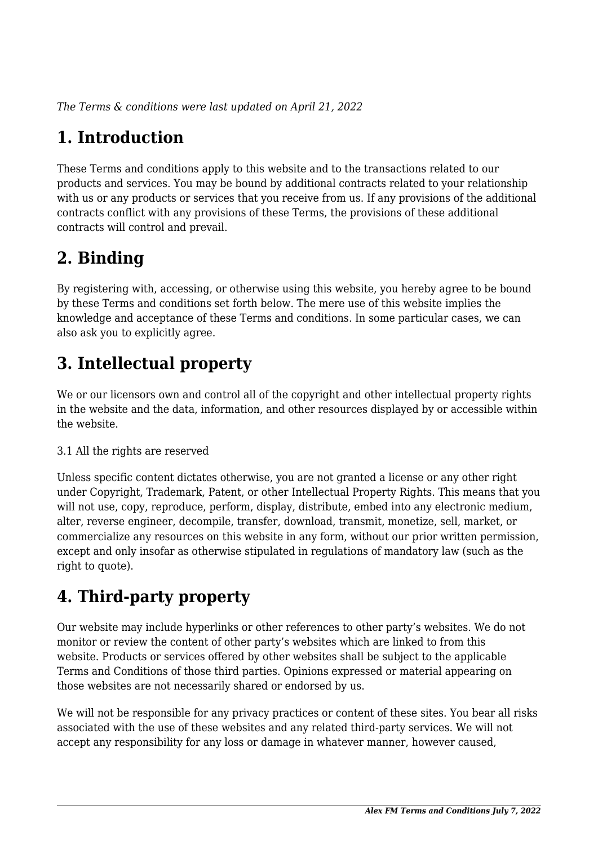*The Terms & conditions were last updated on April 21, 2022*

# **1. Introduction**

These Terms and conditions apply to this website and to the transactions related to our products and services. You may be bound by additional contracts related to your relationship with us or any products or services that you receive from us. If any provisions of the additional contracts conflict with any provisions of these Terms, the provisions of these additional contracts will control and prevail.

# **2. Binding**

By registering with, accessing, or otherwise using this website, you hereby agree to be bound by these Terms and conditions set forth below. The mere use of this website implies the knowledge and acceptance of these Terms and conditions. In some particular cases, we can also ask you to explicitly agree.

# **3. Intellectual property**

We or our licensors own and control all of the copyright and other intellectual property rights in the website and the data, information, and other resources displayed by or accessible within the website.

#### 3.1 All the rights are reserved

Unless specific content dictates otherwise, you are not granted a license or any other right under Copyright, Trademark, Patent, or other Intellectual Property Rights. This means that you will not use, copy, reproduce, perform, display, distribute, embed into any electronic medium, alter, reverse engineer, decompile, transfer, download, transmit, monetize, sell, market, or commercialize any resources on this website in any form, without our prior written permission, except and only insofar as otherwise stipulated in regulations of mandatory law (such as the right to quote).

# **4. Third-party property**

Our website may include hyperlinks or other references to other party's websites. We do not monitor or review the content of other party's websites which are linked to from this website. Products or services offered by other websites shall be subject to the applicable Terms and Conditions of those third parties. Opinions expressed or material appearing on those websites are not necessarily shared or endorsed by us.

We will not be responsible for any privacy practices or content of these sites. You bear all risks associated with the use of these websites and any related third-party services. We will not accept any responsibility for any loss or damage in whatever manner, however caused,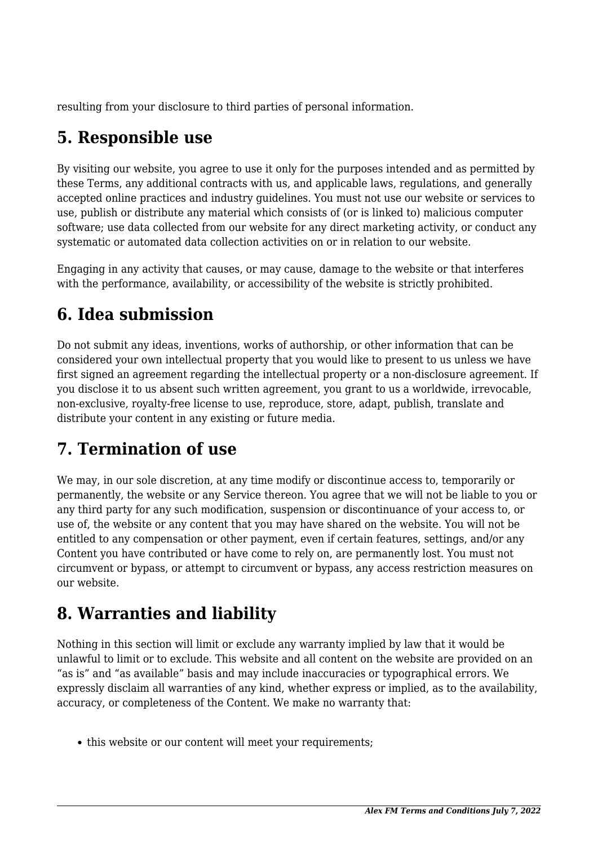resulting from your disclosure to third parties of personal information.

### **5. Responsible use**

By visiting our website, you agree to use it only for the purposes intended and as permitted by these Terms, any additional contracts with us, and applicable laws, regulations, and generally accepted online practices and industry guidelines. You must not use our website or services to use, publish or distribute any material which consists of (or is linked to) malicious computer software; use data collected from our website for any direct marketing activity, or conduct any systematic or automated data collection activities on or in relation to our website.

Engaging in any activity that causes, or may cause, damage to the website or that interferes with the performance, availability, or accessibility of the website is strictly prohibited.

## **6. Idea submission**

Do not submit any ideas, inventions, works of authorship, or other information that can be considered your own intellectual property that you would like to present to us unless we have first signed an agreement regarding the intellectual property or a non-disclosure agreement. If you disclose it to us absent such written agreement, you grant to us a worldwide, irrevocable, non-exclusive, royalty-free license to use, reproduce, store, adapt, publish, translate and distribute your content in any existing or future media.

## **7. Termination of use**

We may, in our sole discretion, at any time modify or discontinue access to, temporarily or permanently, the website or any Service thereon. You agree that we will not be liable to you or any third party for any such modification, suspension or discontinuance of your access to, or use of, the website or any content that you may have shared on the website. You will not be entitled to any compensation or other payment, even if certain features, settings, and/or any Content you have contributed or have come to rely on, are permanently lost. You must not circumvent or bypass, or attempt to circumvent or bypass, any access restriction measures on our website.

## **8. Warranties and liability**

Nothing in this section will limit or exclude any warranty implied by law that it would be unlawful to limit or to exclude. This website and all content on the website are provided on an "as is" and "as available" basis and may include inaccuracies or typographical errors. We expressly disclaim all warranties of any kind, whether express or implied, as to the availability, accuracy, or completeness of the Content. We make no warranty that:

• this website or our content will meet your requirements;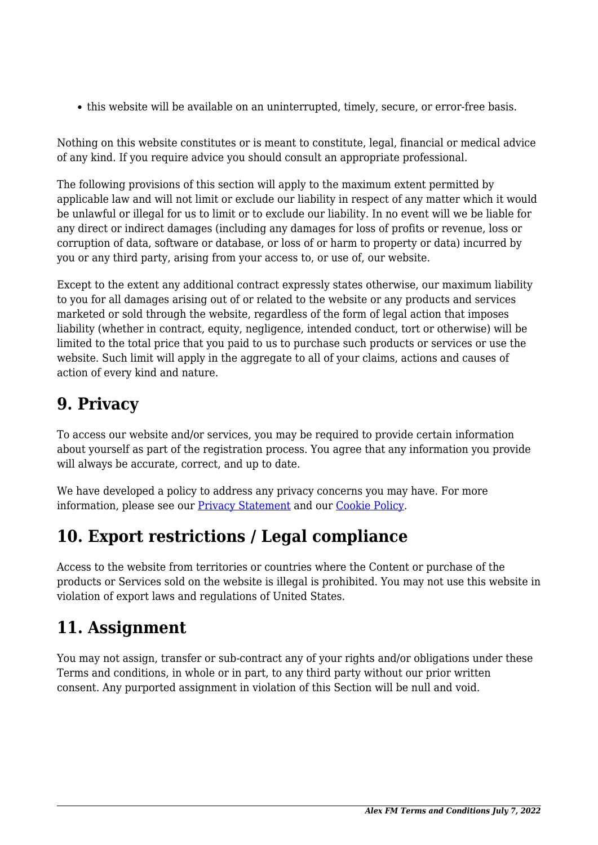this website will be available on an uninterrupted, timely, secure, or error-free basis.

Nothing on this website constitutes or is meant to constitute, legal, financial or medical advice of any kind. If you require advice you should consult an appropriate professional.

The following provisions of this section will apply to the maximum extent permitted by applicable law and will not limit or exclude our liability in respect of any matter which it would be unlawful or illegal for us to limit or to exclude our liability. In no event will we be liable for any direct or indirect damages (including any damages for loss of profits or revenue, loss or corruption of data, software or database, or loss of or harm to property or data) incurred by you or any third party, arising from your access to, or use of, our website.

Except to the extent any additional contract expressly states otherwise, our maximum liability to you for all damages arising out of or related to the website or any products and services marketed or sold through the website, regardless of the form of legal action that imposes liability (whether in contract, equity, negligence, intended conduct, tort or otherwise) will be limited to the total price that you paid to us to purchase such products or services or use the website. Such limit will apply in the aggregate to all of your claims, actions and causes of action of every kind and nature.

#### **9. Privacy**

To access our website and/or services, you may be required to provide certain information about yourself as part of the registration process. You agree that any information you provide will always be accurate, correct, and up to date.

We have developed a policy to address any privacy concerns you may have. For more information, please see our **Privacy Statement** and our **[Cookie Policy](https://www.myalexfm.com/cookie-policy-eu/)**.

#### **10. Export restrictions / Legal compliance**

Access to the website from territories or countries where the Content or purchase of the products or Services sold on the website is illegal is prohibited. You may not use this website in violation of export laws and regulations of United States.

## **11. Assignment**

You may not assign, transfer or sub-contract any of your rights and/or obligations under these Terms and conditions, in whole or in part, to any third party without our prior written consent. Any purported assignment in violation of this Section will be null and void.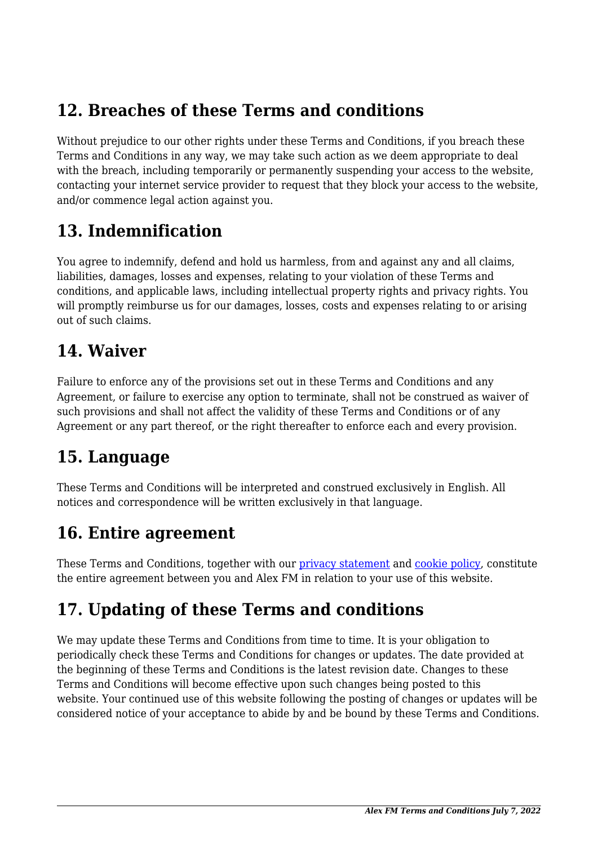#### **12. Breaches of these Terms and conditions**

Without prejudice to our other rights under these Terms and Conditions, if you breach these Terms and Conditions in any way, we may take such action as we deem appropriate to deal with the breach, including temporarily or permanently suspending your access to the website, contacting your internet service provider to request that they block your access to the website, and/or commence legal action against you.

#### **13. Indemnification**

You agree to indemnify, defend and hold us harmless, from and against any and all claims, liabilities, damages, losses and expenses, relating to your violation of these Terms and conditions, and applicable laws, including intellectual property rights and privacy rights. You will promptly reimburse us for our damages, losses, costs and expenses relating to or arising out of such claims.

#### **14. Waiver**

Failure to enforce any of the provisions set out in these Terms and Conditions and any Agreement, or failure to exercise any option to terminate, shall not be construed as waiver of such provisions and shall not affect the validity of these Terms and Conditions or of any Agreement or any part thereof, or the right thereafter to enforce each and every provision.

#### **15. Language**

These Terms and Conditions will be interpreted and construed exclusively in English. All notices and correspondence will be written exclusively in that language.

#### **16. Entire agreement**

These Terms and Conditions, together with our *privacy* statement and *cookie policy*, constitute the entire agreement between you and Alex FM in relation to your use of this website.

## **17. Updating of these Terms and conditions**

We may update these Terms and Conditions from time to time. It is your obligation to periodically check these Terms and Conditions for changes or updates. The date provided at the beginning of these Terms and Conditions is the latest revision date. Changes to these Terms and Conditions will become effective upon such changes being posted to this website. Your continued use of this website following the posting of changes or updates will be considered notice of your acceptance to abide by and be bound by these Terms and Conditions.